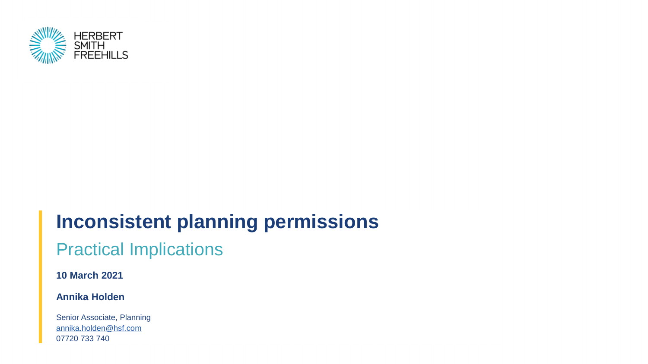

# **Inconsistent planning permissions**

#### Practical Implications

**10 March 2021**

#### **Annika Holden**

Senior Associate, Planning [annika.holden@hsf.com](mailto:annika.holden@hsf.com) 07720 733 740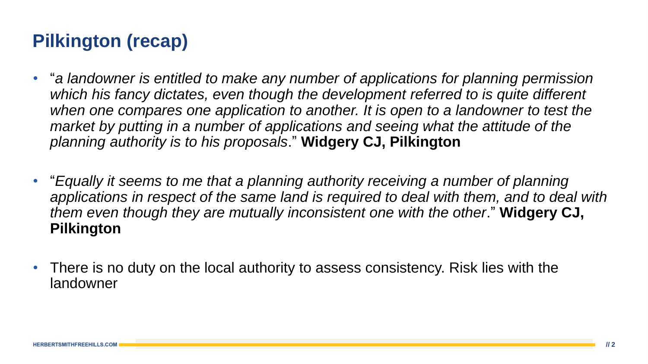# **Pilkington (recap)**

- "a landowner is entitled to make any number of applications for planning permission which his fancy dictates, even though the development referred to is quite different when one compares one application to another. It is open to a landowner to test the *market by putting in a number of applications and seeing what the attitude of the planning authority is to his proposals*." **Widgery CJ, Pilkington**
- "Equally it seems to me that a planning authority receiving a number of planning *applications in respect of the same land is required to deal with them, and to deal with them even though they are mutually inconsistent one with the other*." **Widgery CJ, Pilkington**
- There is no duty on the local authority to assess consistency. Risk lies with the landowner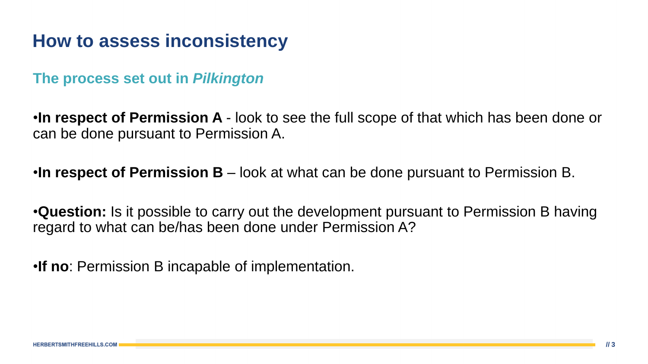#### **How to assess inconsistency**

**The process set out in** *Pilkington*

•**In respect of Permission A** - look to see the full scope of that which has been done or can be done pursuant to Permission A.

•**In respect of Permission B** – look at what can be done pursuant to Permission B.

•**Question:** Is it possible to carry out the development pursuant to Permission B having regard to what can be/has been done under Permission A?

•**If no**: Permission B incapable of implementation.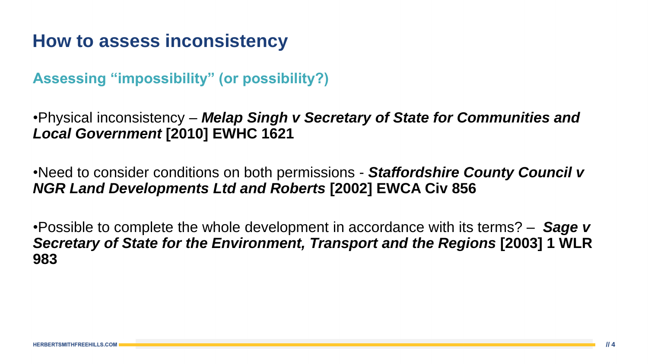# **How to assess inconsistency**

**Assessing "impossibility" (or possibility?)**

•Physical inconsistency – *Melap Singh v Secretary of State for Communities and Local Government* **[2010] EWHC 1621**

•Need to consider conditions on both permissions - *Staffordshire County Council v NGR Land Developments Ltd and Roberts* **[2002] EWCA Civ 856**

•Possible to complete the whole development in accordance with its terms? – *Sage v Secretary of State for the Environment, Transport and the Regions* **[2003] 1 WLR 983**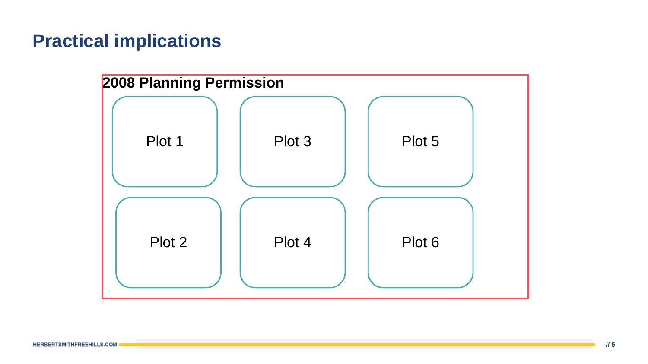# **Practical implications**

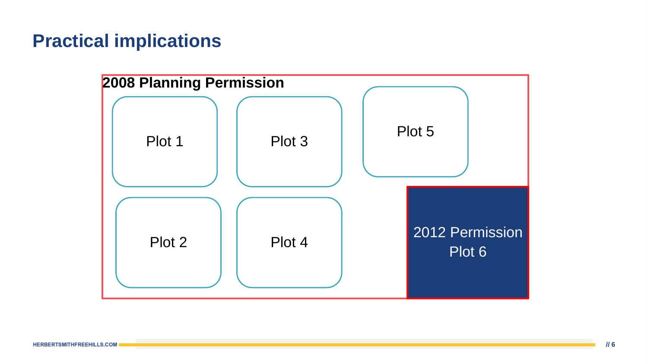# **Practical implications**

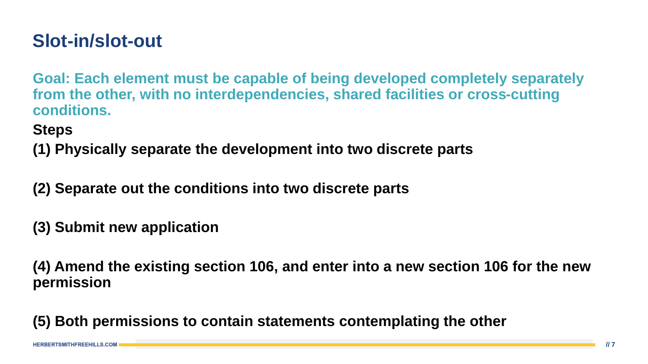# **Slot-in/slot-out**

**Goal: Each element must be capable of being developed completely separately from the other, with no interdependencies, shared facilities or cross-cutting conditions.**

**Steps** 

**(1) Physically separate the development into two discrete parts**

**(2) Separate out the conditions into two discrete parts**

**(3) Submit new application**

**(4) Amend the existing section 106, and enter into a new section 106 for the new permission**

**(5) Both permissions to contain statements contemplating the other**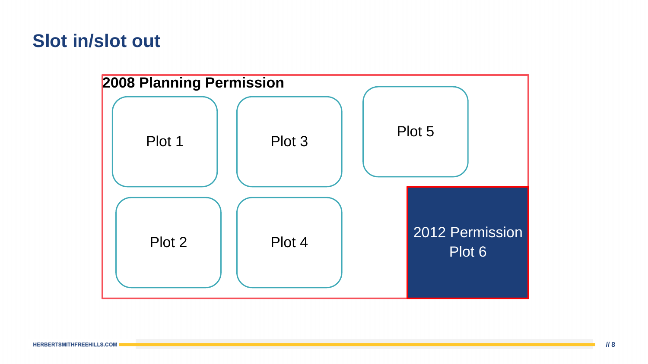#### **Slot in/slot out**